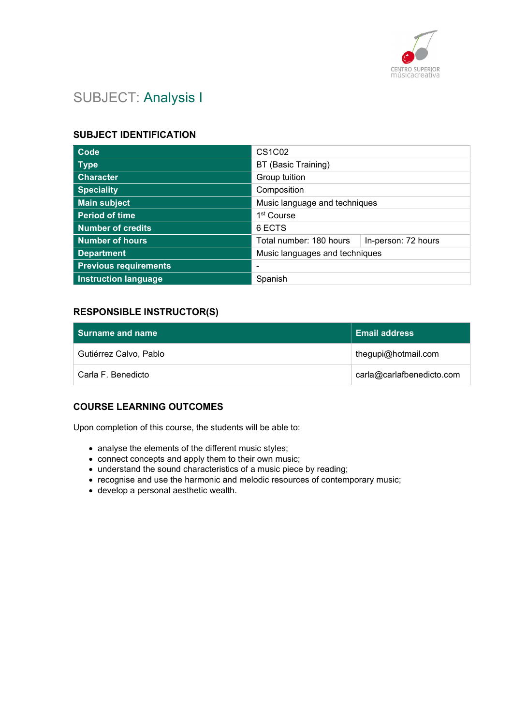

# SUBJECT: Analysis I

#### SUBJECT IDENTIFICATION

| Code                         | <b>CS1C02</b>                                  |  |
|------------------------------|------------------------------------------------|--|
| <b>Type</b>                  | BT (Basic Training)                            |  |
| <b>Character</b>             | Group tuition                                  |  |
| <b>Speciality</b>            | Composition                                    |  |
| <b>Main subject</b>          | Music language and techniques                  |  |
| <b>Period of time</b>        | 1 <sup>st</sup> Course                         |  |
| <b>Number of credits</b>     | 6 ECTS                                         |  |
| <b>Number of hours</b>       | Total number: 180 hours<br>In-person: 72 hours |  |
| <b>Department</b>            | Music languages and techniques                 |  |
| <b>Previous requirements</b> |                                                |  |
| <b>Instruction language</b>  | Spanish                                        |  |

### RESPONSIBLE INSTRUCTOR(S)

| l Surname and name     | <b>Email address</b>      |
|------------------------|---------------------------|
| Gutiérrez Calvo, Pablo | thegupi@hotmail.com       |
| Carla F. Benedicto     | carla@carlafbenedicto.com |

### COURSE LEARNING OUTCOMES

Upon completion of this course, the students will be able to:

- analyse the elements of the different music styles;
- connect concepts and apply them to their own music;
- understand the sound characteristics of a music piece by reading;
- recognise and use the harmonic and melodic resources of contemporary music;
- develop a personal aesthetic wealth.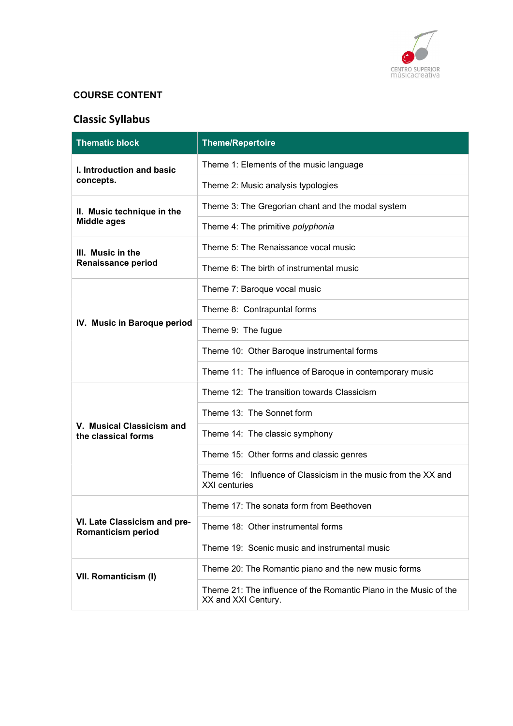

## COURSE CONTENT

# Classic Syllabus

| <b>Thematic block</b>                                     | <b>Theme/Repertoire</b>                                                                  |
|-----------------------------------------------------------|------------------------------------------------------------------------------------------|
| I. Introduction and basic                                 | Theme 1: Elements of the music language                                                  |
| concepts.                                                 | Theme 2: Music analysis typologies                                                       |
| II. Music technique in the                                | Theme 3: The Gregorian chant and the modal system                                        |
| <b>Middle ages</b>                                        | Theme 4: The primitive polyphonia                                                        |
| III. Music in the                                         | Theme 5: The Renaissance vocal music                                                     |
| <b>Renaissance period</b>                                 | Theme 6: The birth of instrumental music                                                 |
|                                                           | Theme 7: Baroque vocal music                                                             |
|                                                           | Theme 8: Contrapuntal forms                                                              |
| IV. Music in Baroque period                               | Theme 9: The fugue                                                                       |
|                                                           | Theme 10: Other Baroque instrumental forms                                               |
|                                                           | Theme 11: The influence of Baroque in contemporary music                                 |
|                                                           | Theme 12: The transition towards Classicism                                              |
|                                                           | Theme 13: The Sonnet form                                                                |
| V. Musical Classicism and<br>the classical forms          | Theme 14: The classic symphony                                                           |
|                                                           | Theme 15: Other forms and classic genres                                                 |
|                                                           | Theme 16: Influence of Classicism in the music from the XX and<br><b>XXI</b> centuries   |
|                                                           | Theme 17: The sonata form from Beethoven                                                 |
| VI. Late Classicism and pre-<br><b>Romanticism period</b> | Theme 18: Other instrumental forms                                                       |
|                                                           | Theme 19: Scenic music and instrumental music                                            |
| VII. Romanticism (I)                                      | Theme 20: The Romantic piano and the new music forms                                     |
|                                                           | Theme 21: The influence of the Romantic Piano in the Music of the<br>XX and XXI Century. |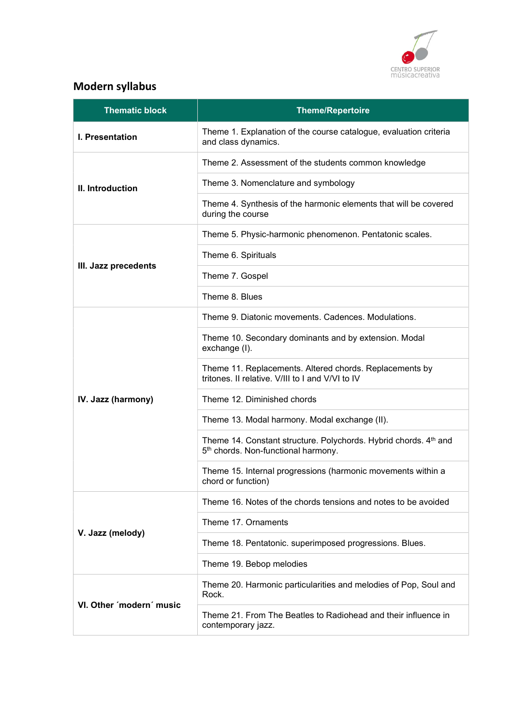

# Modern syllabus

| <b>Thematic block</b>    | <b>Theme/Repertoire</b>                                                                                             |
|--------------------------|---------------------------------------------------------------------------------------------------------------------|
| I. Presentation          | Theme 1. Explanation of the course catalogue, evaluation criteria<br>and class dynamics.                            |
| II. Introduction         | Theme 2. Assessment of the students common knowledge                                                                |
|                          | Theme 3. Nomenclature and symbology                                                                                 |
|                          | Theme 4. Synthesis of the harmonic elements that will be covered<br>during the course                               |
|                          | Theme 5. Physic-harmonic phenomenon. Pentatonic scales.                                                             |
| III. Jazz precedents     | Theme 6. Spirituals                                                                                                 |
|                          | Theme 7. Gospel                                                                                                     |
|                          | Theme 8. Blues                                                                                                      |
|                          | Theme 9. Diatonic movements. Cadences. Modulations.                                                                 |
| IV. Jazz (harmony)       | Theme 10. Secondary dominants and by extension. Modal<br>exchange (I).                                              |
|                          | Theme 11. Replacements. Altered chords. Replacements by<br>tritones. Il relative. V/III to I and V/VI to IV         |
|                          | Theme 12. Diminished chords                                                                                         |
|                          | Theme 13. Modal harmony. Modal exchange (II).                                                                       |
|                          | Theme 14. Constant structure. Polychords. Hybrid chords. 4th and<br>5 <sup>th</sup> chords. Non-functional harmony. |
|                          | Theme 15. Internal progressions (harmonic movements within a<br>chord or function)                                  |
|                          | Theme 16. Notes of the chords tensions and notes to be avoided                                                      |
| V. Jazz (melody)         | Theme 17. Ornaments                                                                                                 |
|                          | Theme 18. Pentatonic. superimposed progressions. Blues.                                                             |
|                          | Theme 19. Bebop melodies                                                                                            |
| VI. Other 'modern' music | Theme 20. Harmonic particularities and melodies of Pop, Soul and<br>Rock.                                           |
|                          | Theme 21. From The Beatles to Radiohead and their influence in<br>contemporary jazz.                                |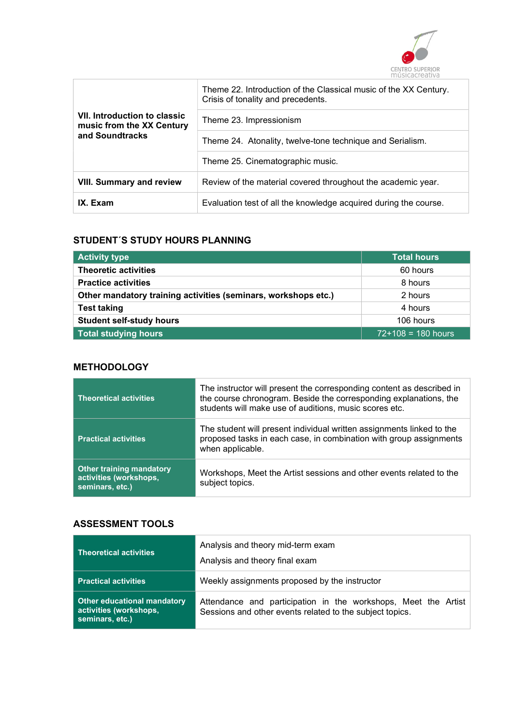

| <b>VII. Introduction to classic</b><br>music from the XX Century<br>and Soundtracks | Theme 22. Introduction of the Classical music of the XX Century.<br>Crisis of tonality and precedents. |
|-------------------------------------------------------------------------------------|--------------------------------------------------------------------------------------------------------|
|                                                                                     | Theme 23. Impressionism                                                                                |
|                                                                                     | Theme 24. Atonality, twelve-tone technique and Serialism.                                              |
|                                                                                     | Theme 25. Cinematographic music.                                                                       |
| <b>VIII. Summary and review</b>                                                     | Review of the material covered throughout the academic year.                                           |
| IX. Exam                                                                            | Evaluation test of all the knowledge acquired during the course.                                       |

#### STUDENT´S STUDY HOURS PLANNING

| <b>Activity type</b>                                           | <b>Total hours</b>   |
|----------------------------------------------------------------|----------------------|
| <b>Theoretic activities</b>                                    | 60 hours             |
| <b>Practice activities</b>                                     | 8 hours              |
| Other mandatory training activities (seminars, workshops etc.) | 2 hours              |
| <b>Test taking</b>                                             | 4 hours              |
| <b>Student self-study hours</b>                                | 106 hours            |
| <b>Total studying hours</b>                                    | $72+108 = 180$ hours |

### **METHODOLOGY**

| <b>Theoretical activities</b>                                                | The instructor will present the corresponding content as described in<br>the course chronogram. Beside the corresponding explanations, the<br>students will make use of auditions, music scores etc. |
|------------------------------------------------------------------------------|------------------------------------------------------------------------------------------------------------------------------------------------------------------------------------------------------|
| <b>Practical activities</b>                                                  | The student will present individual written assignments linked to the<br>proposed tasks in each case, in combination with group assignments<br>when applicable.                                      |
| <b>Other training mandatory</b><br>activities (workshops,<br>seminars, etc.) | Workshops, Meet the Artist sessions and other events related to the<br>subject topics.                                                                                                               |

### ASSESSMENT TOOLS

| <b>Theoretical activities</b>                                                   | Analysis and theory mid-term exam<br>Analysis and theory final exam                                                        |
|---------------------------------------------------------------------------------|----------------------------------------------------------------------------------------------------------------------------|
| <b>Practical activities</b>                                                     | Weekly assignments proposed by the instructor                                                                              |
| <b>Other educational mandatory</b><br>activities (workshops,<br>seminars, etc.) | Attendance and participation in the workshops, Meet the Artist<br>Sessions and other events related to the subject topics. |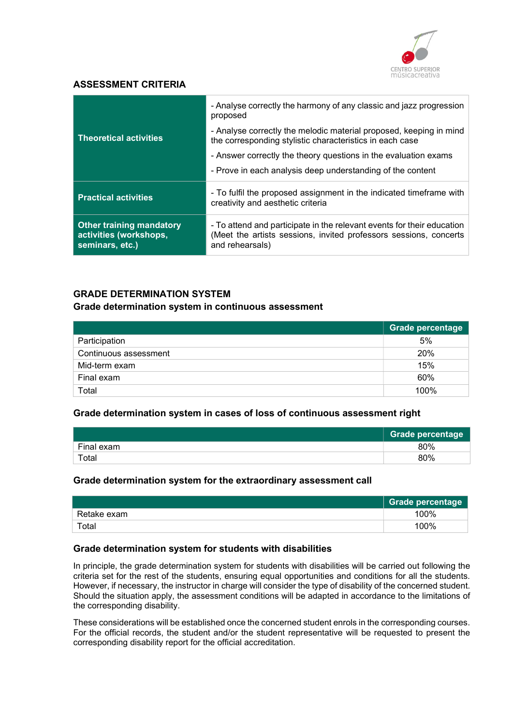

#### ASSESSMENT CRITERIA

|                                                                              | - Analyse correctly the harmony of any classic and jazz progression<br>proposed                                                                                |
|------------------------------------------------------------------------------|----------------------------------------------------------------------------------------------------------------------------------------------------------------|
| <b>Theoretical activities</b>                                                | - Analyse correctly the melodic material proposed, keeping in mind<br>the corresponding stylistic characteristics in each case                                 |
|                                                                              | - Answer correctly the theory questions in the evaluation exams                                                                                                |
|                                                                              | - Prove in each analysis deep understanding of the content                                                                                                     |
| <b>Practical activities</b>                                                  | - To fulfil the proposed assignment in the indicated timeframe with<br>creativity and aesthetic criteria                                                       |
| <b>Other training mandatory</b><br>activities (workshops,<br>seminars, etc.) | - To attend and participate in the relevant events for their education<br>(Meet the artists sessions, invited professors sessions, concerts<br>and rehearsals) |

### GRADE DETERMINATION SYSTEM

#### Grade determination system in continuous assessment

|                       | Grade percentage |
|-----------------------|------------------|
| Participation         | 5%               |
| Continuous assessment | 20%              |
| Mid-term exam         | 15%              |
| Final exam            | 60%              |
| Total                 | 100%             |

#### Grade determination system in cases of loss of continuous assessment right

|            | <b>Grade percentage</b> |
|------------|-------------------------|
| Final exam | 80%                     |
| Total      | 80%                     |

#### Grade determination system for the extraordinary assessment call

|             | <b>Grade percentage</b> |
|-------------|-------------------------|
| Retake exam | 100%                    |
| Total       | 100%                    |

#### Grade determination system for students with disabilities

In principle, the grade determination system for students with disabilities will be carried out following the criteria set for the rest of the students, ensuring equal opportunities and conditions for all the students. However, if necessary, the instructor in charge will consider the type of disability of the concerned student. Should the situation apply, the assessment conditions will be adapted in accordance to the limitations of the corresponding disability.

These considerations will be established once the concerned student enrols in the corresponding courses. For the official records, the student and/or the student representative will be requested to present the corresponding disability report for the official accreditation.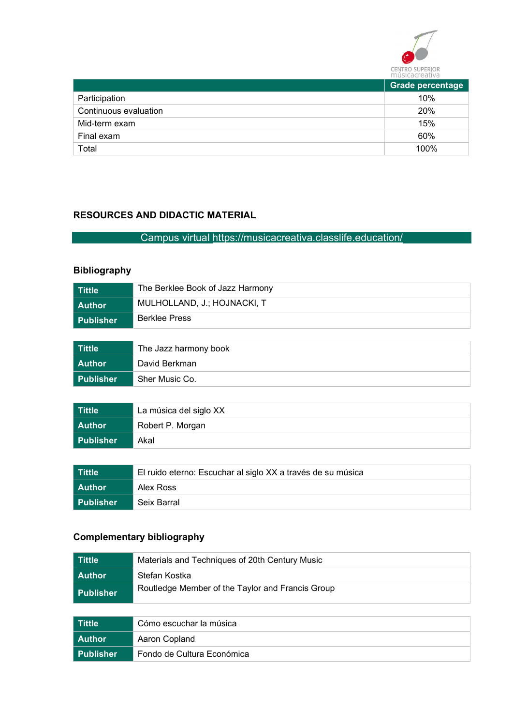

|                       | .                |  |
|-----------------------|------------------|--|
|                       | Grade percentage |  |
| Participation         | 10%              |  |
| Continuous evaluation | 20%              |  |
| Mid-term exam         | 15%              |  |
| Final exam            | 60%              |  |
| Total                 | 100%             |  |

## RESOURCES AND DIDACTIC MATERIAL

# Campus virtual https://musicacreativa.classlife.education/

## Bibliography

| l Tittle  | The Berklee Book of Jazz Harmony |
|-----------|----------------------------------|
| Author    | MULHOLLAND, J.; HOJNACKI, T      |
| Publisher | <b>Berklee Press</b>             |
|           |                                  |

| Tittle    | The Jazz harmony book |  |
|-----------|-----------------------|--|
| l Author  | David Berkman         |  |
| Publisher | Sher Music Co.        |  |

| Tittle    | La música del siglo XX |  |
|-----------|------------------------|--|
| l Author  | Robert P. Morgan       |  |
| Publisher | Akal                   |  |

| Tittle      | El ruido eterno: Escuchar al siglo XX a través de su música |  |
|-------------|-------------------------------------------------------------|--|
| l Author    | Alex Ross                                                   |  |
| l Publisher | Seix Barral                                                 |  |

# Complementary bibliography

| l Tittle         | Materials and Techniques of 20th Century Music   |  |
|------------------|--------------------------------------------------|--|
| l Author         | Stefan Kostka                                    |  |
| <b>Publisher</b> | Routledge Member of the Taylor and Francis Group |  |

| l Tittle         | Cómo escuchar la música    |  |
|------------------|----------------------------|--|
| l Author         | Aaron Copland              |  |
| <b>Publisher</b> | Fondo de Cultura Económica |  |